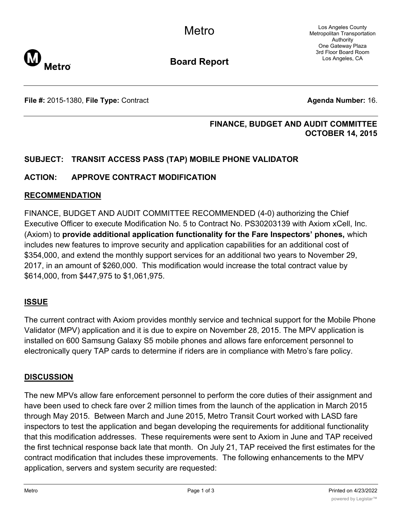Los Angeles County Metropolitan Transportation Authority One Gateway Plaza 3rd Floor Board Room Los Angeles, CA



**Board Report**

**File #:** 2015-1380, File Type: Contract **Agents Agenda Number:** 16.

## **FINANCE, BUDGET AND AUDIT COMMITTEE OCTOBER 14, 2015**

# **SUBJECT: TRANSIT ACCESS PASS (TAP) MOBILE PHONE VALIDATOR**

# **ACTION: APPROVE CONTRACT MODIFICATION**

## **RECOMMENDATION**

FINANCE, BUDGET AND AUDIT COMMITTEE RECOMMENDED (4-0) authorizing the Chief Executive Officer to execute Modification No. 5 to Contract No. PS30203139 with Axiom xCell, Inc. (Axiom) to **provide additional application functionality for the Fare Inspectors' phones,** which includes new features to improve security and application capabilities for an additional cost of \$354,000, and extend the monthly support services for an additional two years to November 29, 2017, in an amount of \$260,000. This modification would increase the total contract value by \$614,000, from \$447,975 to \$1,061,975.

## **ISSUE**

The current contract with Axiom provides monthly service and technical support for the Mobile Phone Validator (MPV) application and it is due to expire on November 28, 2015. The MPV application is installed on 600 Samsung Galaxy S5 mobile phones and allows fare enforcement personnel to electronically query TAP cards to determine if riders are in compliance with Metro's fare policy.

## **DISCUSSION**

The new MPVs allow fare enforcement personnel to perform the core duties of their assignment and have been used to check fare over 2 million times from the launch of the application in March 2015 through May 2015. Between March and June 2015, Metro Transit Court worked with LASD fare inspectors to test the application and began developing the requirements for additional functionality that this modification addresses. These requirements were sent to Axiom in June and TAP received the first technical response back late that month. On July 21, TAP received the first estimates for the contract modification that includes these improvements. The following enhancements to the MPV application, servers and system security are requested: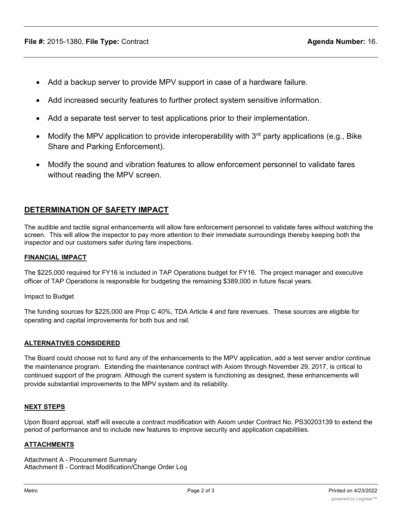- · Add a backup server to provide MPV support in case of a hardware failure.
- Add increased security features to further protect system sensitive information.
- Add a separate test server to test applications prior to their implementation.
- Modify the MPV application to provide interoperability with  $3<sup>rd</sup>$  party applications (e.g., Bike Share and Parking Enforcement).
- · Modify the sound and vibration features to allow enforcement personnel to validate fares without reading the MPV screen.

# **DETERMINATION OF SAFETY IMPACT**

The audible and tactile signal enhancements will allow fare enforcement personnel to validate fares without watching the screen. This will allow the inspector to pay more attention to their immediate surroundings thereby keeping both the inspector and our customers safer during fare inspections.

### **FINANCIAL IMPACT**

The \$225,000 required for FY16 is included in TAP Operations budget for FY16. The project manager and executive officer of TAP Operations is responsible for budgeting the remaining \$389,000 in future fiscal years.

Impact to Budget

The funding sources for \$225,000 are Prop C 40%, TDA Article 4 and fare revenues. These sources are eligible for operating and capital improvements for both bus and rail.

### **ALTERNATIVES CONSIDERED**

The Board could choose not to fund any of the enhancements to the MPV application, add a test server and/or continue the maintenance program. Extending the maintenance contract with Axiom through November 29, 2017, is critical to continued support of the program. Although the current system is functioning as designed, these enhancements will provide substantial improvements to the MPV system and its reliability.

### **NEXT STEPS**

Upon Board approal, staff will execute a contract modification with Axiom under Contract No. PS30203139 to extend the period of performance and to include new features to improve security and application capabilities.

### **ATTACHMENTS**

Attachment A - Procurement Summary Attachment B - Contract Modification/Change Order Log